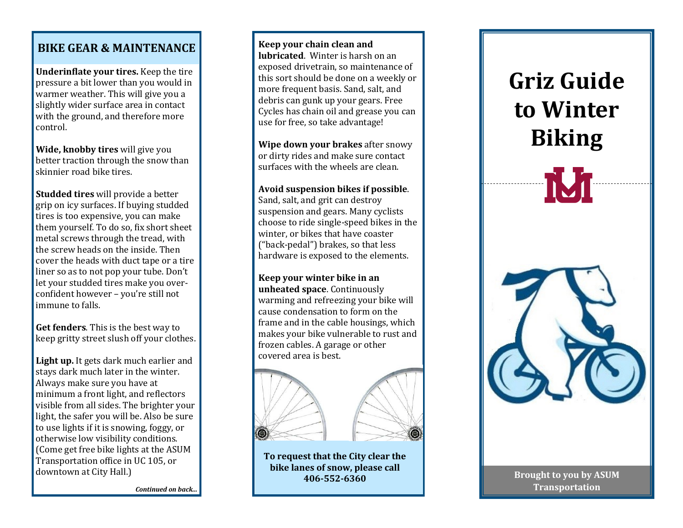## **BIKE GEAR & MAINTENANCE**

**Underinflate your tires.** Keep the tire pressure a bit lower than you would in warmer weather. This will give you a slightly wider surface area in contact with the ground, and therefore more control.

**Wide, knobby tires** will give you better traction through the snow than skinnier road bike tires.

**Studded tires** will provide a better grip on icy surfaces. If buying studded tires is too expensive, you can make them yourself. To do so, fix short sheet metal screws through the tread, with the screw heads on the inside. Then cover the heads with duct tape or a tire liner so as to not pop your tube. Don't let your studded tires make you overconfident however – you're still not immune to falls.

**Get fenders**. This is the best way to keep gritty street slush off your clothes.

**Light up.** It gets dark much earlier and stays dark much later in the winter. Always make sure you have at minimum a front light, and reflectors visible from all sides. The brighter your light, the safer you will be. Also be sure to use lights if it is snowing, foggy, or otherwise low visibility conditions. (Come get free bike lights at the ASUM Transportation office in UC 105, or downtown at City Hall.)

**Keep your chain clean and lubricated**. Winter is harsh on an exposed drivetrain, so maintenance of this sort should be done on a weekly or more frequent basis. Sand, salt, and debris can gunk up your gears. Free Cycles has chain oil and grease you can use for free, so take advantage!

**Wipe down your brakes** after snowy or dirty rides and make sure contact surfaces with the wheels are clean.

## **Avoid suspension bikes if possible**.

Sand, salt, and grit can destroy suspension and gears. Many cyclists choose to ride single -speed bikes in the winter, or bikes that have coaster ("back -pedal") brakes, so that less hardware is exposed to the elements.

**Keep your winter bike in an unheated space**. Continuously warming and refreezing your bike will cause condensation to form on the frame and in the cable housings, which makes your bike vulnerable to rust and frozen cables. A garage or other covered area is best.



**To request that the City clear the bike lanes of snow, please call 406 -552 -6360**

## **Griz Guide to Winter Biking TVT**



**Brought to you by ASUM Transportation**